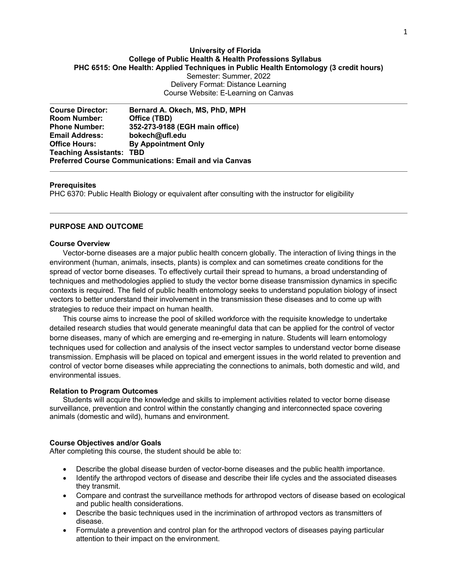# **University of Florida College of Public Health & Health Professions Syllabus PHC 6515: One Health: Applied Techniques in Public Health Entomology (3 credit hours)** Semester: Summer, 2022 Delivery Format: Distance Learning Course Website: E-Learning on Canvas

**Course Director: Bernard A. Okech, MS, PhD, MPH Room Number: Office (TBD) Phone Number: 352-273-9188 (EGH main office) Email Address: bokech@ufl.edu Office Hours: By Appointment Only Teaching Assistants: TBD Preferred Course Communications: Email and via Canvas**

#### **Prerequisites**

PHC 6370: Public Health Biology or equivalent after consulting with the instructor for eligibility

#### **PURPOSE AND OUTCOME**

#### **Course Overview**

Vector-borne diseases are a major public health concern globally. The interaction of living things in the environment (human, animals, insects, plants) is complex and can sometimes create conditions for the spread of vector borne diseases. To effectively curtail their spread to humans, a broad understanding of techniques and methodologies applied to study the vector borne disease transmission dynamics in specific contexts is required. The field of public health entomology seeks to understand population biology of insect vectors to better understand their involvement in the transmission these diseases and to come up with strategies to reduce their impact on human health.

This course aims to increase the pool of skilled workforce with the requisite knowledge to undertake detailed research studies that would generate meaningful data that can be applied for the control of vector borne diseases, many of which are emerging and re-emerging in nature. Students will learn entomology techniques used for collection and analysis of the insect vector samples to understand vector borne disease transmission. Emphasis will be placed on topical and emergent issues in the world related to prevention and control of vector borne diseases while appreciating the connections to animals, both domestic and wild, and environmental issues.

#### **Relation to Program Outcomes**

Students will acquire the knowledge and skills to implement activities related to vector borne disease surveillance, prevention and control within the constantly changing and interconnected space covering animals (domestic and wild), humans and environment.

### **Course Objectives and/or Goals**

After completing this course, the student should be able to:

- Describe the global disease burden of vector-borne diseases and the public health importance.
- Identify the arthropod vectors of disease and describe their life cycles and the associated diseases they transmit.
- Compare and contrast the surveillance methods for arthropod vectors of disease based on ecological and public health considerations.
- Describe the basic techniques used in the incrimination of arthropod vectors as transmitters of disease.
- Formulate a prevention and control plan for the arthropod vectors of diseases paying particular attention to their impact on the environment.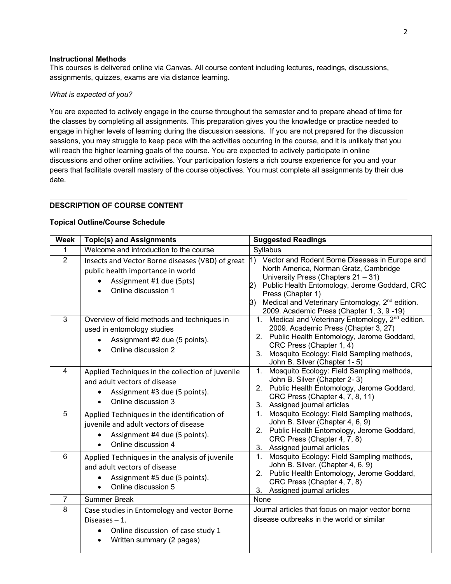### **Instructional Methods**

This courses is delivered online via Canvas. All course content including lectures, readings, discussions, assignments, quizzes, exams are via distance learning.

## *What is expected of you?*

You are expected to actively engage in the course throughout the semester and to prepare ahead of time for the classes by completing all assignments. This preparation gives you the knowledge or practice needed to engage in higher levels of learning during the discussion sessions. If you are not prepared for the discussion sessions, you may struggle to keep pace with the activities occurring in the course, and it is unlikely that you will reach the higher learning goals of the course. You are expected to actively participate in online discussions and other online activities. Your participation fosters a rich course experience for you and your peers that facilitate overall mastery of the course objectives. You must complete all assignments by their due date.

# **DESCRIPTION OF COURSE CONTENT**

### **Topical Outline/Course Schedule**

| <b>Week</b>     | <b>Topic(s) and Assignments</b>                                                                                                                       | <b>Suggested Readings</b>                                                                                                                                                                                                                                                                                                      |
|-----------------|-------------------------------------------------------------------------------------------------------------------------------------------------------|--------------------------------------------------------------------------------------------------------------------------------------------------------------------------------------------------------------------------------------------------------------------------------------------------------------------------------|
| 1               | Welcome and introduction to the course                                                                                                                | Syllabus                                                                                                                                                                                                                                                                                                                       |
| 2               | Insects and Vector Borne diseases (VBD) of great $ 1\rangle$<br>public health importance in world<br>Assignment #1 due (5pts)<br>Online discussion 1  | Vector and Rodent Borne Diseases in Europe and<br>North America, Norman Gratz, Cambridge<br>University Press (Chapters 21 - 31)<br>Public Health Entomology, Jerome Goddard, CRC<br>2)<br>Press (Chapter 1)<br>Medical and Veterinary Entomology, 2 <sup>nd</sup> edition.<br>3)<br>2009. Academic Press (Chapter 1, 3, 9 -19) |
| $\overline{3}$  | Overview of field methods and techniques in<br>used in entomology studies<br>Assignment #2 due (5 points).<br>Online discussion 2                     | 1. Medical and Veterinary Entomology, 2 <sup>nd</sup> edition.<br>2009. Academic Press (Chapter 3, 27)<br>2. Public Health Entomology, Jerome Goddard,<br>CRC Press (Chapter 1, 4)<br>Mosquito Ecology: Field Sampling methods,<br>3.<br>John B. Silver (Chapter 1-5)                                                          |
| $\overline{4}$  | Applied Techniques in the collection of juvenile<br>and adult vectors of disease<br>Assignment #3 due (5 points).<br>$\bullet$<br>Online discussion 3 | Mosquito Ecology: Field Sampling methods,<br>1.<br>John B. Silver (Chapter 2-3)<br>2. Public Health Entomology, Jerome Goddard,<br>CRC Press (Chapter 4, 7, 8, 11)<br>3. Assigned journal articles                                                                                                                             |
| 5               | Applied Techniques in the identification of<br>juvenile and adult vectors of disease<br>Assignment #4 due (5 points).<br>Online discussion 4          | 1. Mosquito Ecology: Field Sampling methods,<br>John B. Silver (Chapter 4, 6, 9)<br>2. Public Health Entomology, Jerome Goddard,<br>CRC Press (Chapter 4, 7, 8)<br>3. Assigned journal articles                                                                                                                                |
| $6\phantom{1}6$ | Applied Techniques in the analysis of juvenile<br>and adult vectors of disease<br>Assignment #5 due (5 points).<br>Online discussion 5                | Mosquito Ecology: Field Sampling methods,<br>$1_{-}$<br>John B. Silver, (Chapter 4, 6, 9)<br>2. Public Health Entomology, Jerome Goddard,<br>CRC Press (Chapter 4, 7, 8)<br>3. Assigned journal articles                                                                                                                       |
| $\overline{7}$  | <b>Summer Break</b>                                                                                                                                   | None                                                                                                                                                                                                                                                                                                                           |
| 8               | Case studies in Entomology and vector Borne<br>Diseases $-1$ .<br>Online discussion of case study 1<br>Written summary (2 pages)                      | Journal articles that focus on major vector borne<br>disease outbreaks in the world or similar                                                                                                                                                                                                                                 |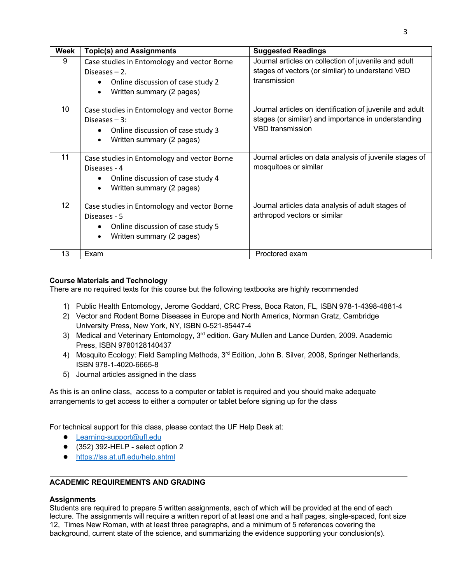| <b>Week</b>     | <b>Topic(s) and Assignments</b>                                                                                                               | <b>Suggested Readings</b>                                                                                                                  |  |  |  |  |  |
|-----------------|-----------------------------------------------------------------------------------------------------------------------------------------------|--------------------------------------------------------------------------------------------------------------------------------------------|--|--|--|--|--|
| 9               | Case studies in Entomology and vector Borne<br>Diseases $-2$ .<br>Online discussion of case study 2<br>Written summary (2 pages)              | Journal articles on collection of juvenile and adult<br>stages of vectors (or similar) to understand VBD<br>transmission                   |  |  |  |  |  |
| 10              | Case studies in Entomology and vector Borne<br>Diseases $-3$ :<br>Online discussion of case study 3<br>Written summary (2 pages)<br>$\bullet$ | Journal articles on identification of juvenile and adult<br>stages (or similar) and importance in understanding<br><b>VBD</b> transmission |  |  |  |  |  |
| 11              | Case studies in Entomology and vector Borne<br>Diseases - 4<br>Online discussion of case study 4<br>Written summary (2 pages)                 | Journal articles on data analysis of juvenile stages of<br>mosquitoes or similar                                                           |  |  |  |  |  |
| 12 <sup>°</sup> | Case studies in Entomology and vector Borne<br>Diseases - 5<br>Online discussion of case study 5<br>Written summary (2 pages)<br>$\bullet$    | Journal articles data analysis of adult stages of<br>arthropod vectors or similar                                                          |  |  |  |  |  |
| 13              | Exam                                                                                                                                          | Proctored exam                                                                                                                             |  |  |  |  |  |

# **Course Materials and Technology**

There are no required texts for this course but the following textbooks are highly recommended

- 1) Public Health Entomology, Jerome Goddard, CRC Press, Boca Raton, FL, ISBN 978-1-4398-4881-4
- 2) Vector and Rodent Borne Diseases in Europe and North America, Norman Gratz, Cambridge University Press, New York, NY, ISBN 0-521-85447-4
- 3) Medical and Veterinary Entomology, 3<sup>rd</sup> edition. Gary Mullen and Lance Durden, 2009. Academic Press, ISBN 9780128140437
- 4) Mosquito Ecology: Field Sampling Methods, 3<sup>rd</sup> Edition, John B. Silver, 2008, Springer Netherlands, ISBN 978-1-4020-6665-8
- 5) Journal articles assigned in the class

As this is an online class, access to a computer or tablet is required and you should make adequate arrangements to get access to either a computer or tablet before signing up for the class

For technical support for this class, please contact the UF Help Desk at:

- Learning-support@ufl.edu
- $\bullet$  (352) 392-HELP select option 2
- https://lss.at.ufl.edu/help.shtml

# **ACADEMIC REQUIREMENTS AND GRADING**

## **Assignments**

Students are required to prepare 5 written assignments, each of which will be provided at the end of each lecture. The assignments will require a written report of at least one and a half pages, single-spaced, font size 12, Times New Roman, with at least three paragraphs, and a minimum of 5 references covering the background, current state of the science, and summarizing the evidence supporting your conclusion(s).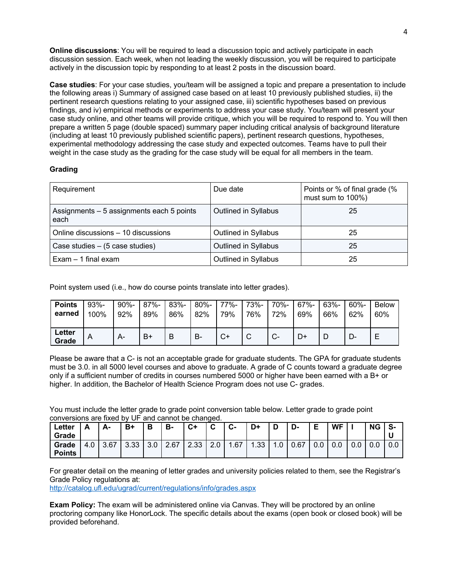**Online discussions**: You will be required to lead a discussion topic and actively participate in each discussion session. Each week, when not leading the weekly discussion, you will be required to participate actively in the discussion topic by responding to at least 2 posts in the discussion board.

**Case studies**: For your case studies, you/team will be assigned a topic and prepare a presentation to include the following areas i) Summary of assigned case based on at least 10 previously published studies, ii) the pertinent research questions relating to your assigned case, iii) scientific hypotheses based on previous findings, and iv) empirical methods or experiments to address your case study. You/team will present your case study online, and other teams will provide critique, which you will be required to respond to. You will then prepare a written 5 page (double spaced) summary paper including critical analysis of background literature (including at least 10 previously published scientific papers), pertinent research questions, hypotheses, experimental methodology addressing the case study and expected outcomes. Teams have to pull their weight in the case study as the grading for the case study will be equal for all members in the team.

# **Grading**

| Requirement                                       | Due date             | Points or % of final grade (%<br>must sum to 100%) |
|---------------------------------------------------|----------------------|----------------------------------------------------|
| Assignments - 5 assignments each 5 points<br>each | Outlined in Syllabus | 25                                                 |
| Online discussions - 10 discussions               | Outlined in Syllabus | 25                                                 |
| Case studies - (5 case studies)                   | Outlined in Syllabus | 25                                                 |
| $Exam - 1$ final exam                             | Outlined in Syllabus | 25                                                 |

Point system used (i.e., how do course points translate into letter grades).

| <b>Points</b>   | $93% -$ | $90% -$ | 87%- | 83%- | 80%- | 77%- | 73%- | 70%-         | 67%- | 63%- | $60\% -$ | <b>Below</b> |
|-----------------|---------|---------|------|------|------|------|------|--------------|------|------|----------|--------------|
| earned          | 100%    | 92%     | 89%  | 86%  | 82%  | 79%  | 76%  | 72%          | 69%  | 66%  | 62%      | 60%          |
| Letter<br>Grade | Α       | А-      | $B+$ | B    | B-   | C+   | ັ    | $\sim$<br>v- | D+   |      |          | ⊢            |

Please be aware that a C- is not an acceptable grade for graduate students. The GPA for graduate students must be 3.0. in all 5000 level courses and above to graduate. A grade of C counts toward a graduate degree only if a sufficient number of credits in courses numbered 5000 or higher have been earned with a B+ or higher. In addition, the Bachelor of Health Science Program does not use C- grades.

You must include the letter grade to grade point conversion table below. Letter grade to grade point conversions are fixed by UF and cannot be changed.

| Letter<br>Grade        | Δ<br>έ | А-   | B+   |     | в-   | $C+$ | $\sim$<br>◡ | ◠<br>- ت              | D+  |   | <u>n</u><br>יש- | Е   | <b>WF</b> |     | <b>NG</b> | S-  |
|------------------------|--------|------|------|-----|------|------|-------------|-----------------------|-----|---|-----------------|-----|-----------|-----|-----------|-----|
| Grade<br><b>Points</b> | 4.0    | 3.67 | 3.33 | 3.0 | 2.67 | 2.33 | 2.0         | .67<br>$\overline{ }$ | .33 | v | 0.67            | v.v | 0.0       | 0.0 | 0.0       | 0.0 |

For greater detail on the meaning of letter grades and university policies related to them, see the Registrar's Grade Policy regulations at:

http://catalog.ufl.edu/ugrad/current/regulations/info/grades.aspx

**Exam Policy:** The exam will be administered online via Canvas. They will be proctored by an online proctoring company like HonorLock. The specific details about the exams (open book or closed book) will be provided beforehand.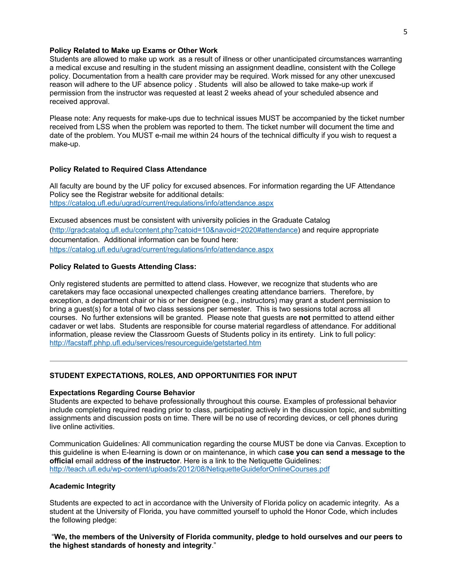#### **Policy Related to Make up Exams or Other Work**

Students are allowed to make up work as a result of illness or other unanticipated circumstances warranting a medical excuse and resulting in the student missing an assignment deadline, consistent with the College policy. Documentation from a health care provider may be required. Work missed for any other unexcused reason will adhere to the UF absence policy . Students will also be allowed to take make-up work if permission from the instructor was requested at least 2 weeks ahead of your scheduled absence and received approval.

Please note: Any requests for make-ups due to technical issues MUST be accompanied by the ticket number received from LSS when the problem was reported to them. The ticket number will document the time and date of the problem. You MUST e-mail me within 24 hours of the technical difficulty if you wish to request a make-up.

#### **Policy Related to Required Class Attendance**

All faculty are bound by the UF policy for excused absences. For information regarding the UF Attendance Policy see the Registrar website for additional details: https://catalog.ufl.edu/ugrad/current/regulations/info/attendance.aspx

Excused absences must be consistent with university policies in the Graduate Catalog (http://gradcatalog.ufl.edu/content.php?catoid=10&navoid=2020#attendance) and require appropriate documentation. Additional information can be found here: https://catalog.ufl.edu/ugrad/current/regulations/info/attendance.aspx

### **Policy Related to Guests Attending Class:**

Only registered students are permitted to attend class. However, we recognize that students who are caretakers may face occasional unexpected challenges creating attendance barriers. Therefore, by exception, a department chair or his or her designee (e.g., instructors) may grant a student permission to bring a guest(s) for a total of two class sessions per semester. This is two sessions total across all courses. No further extensions will be granted. Please note that guests are **not** permitted to attend either cadaver or wet labs. Students are responsible for course material regardless of attendance. For additional information, please review the Classroom Guests of Students policy in its entirety. Link to full policy: http://facstaff.phhp.ufl.edu/services/resourceguide/getstarted.htm

#### **STUDENT EXPECTATIONS, ROLES, AND OPPORTUNITIES FOR INPUT**

#### **Expectations Regarding Course Behavior**

Students are expected to behave professionally throughout this course. Examples of professional behavior include completing required reading prior to class, participating actively in the discussion topic, and submitting assignments and discussion posts on time. There will be no use of recording devices, or cell phones during live online activities.

Communication Guidelines*:* All communication regarding the course MUST be done via Canvas. Exception to this guideline is when E-learning is down or on maintenance, in which ca**se you can send a message to the official** email address **of the instructor**. Here is a link to the Netiquette Guidelines: http://teach.ufl.edu/wp-content/uploads/2012/08/NetiquetteGuideforOnlineCourses.pdf

## **Academic Integrity**

Students are expected to act in accordance with the University of Florida policy on academic integrity. As a student at the University of Florida, you have committed yourself to uphold the Honor Code, which includes the following pledge:

"**We, the members of the University of Florida community, pledge to hold ourselves and our peers to the highest standards of honesty and integrity**."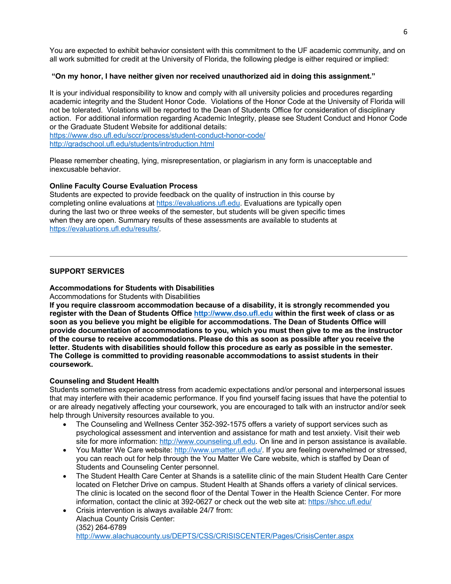You are expected to exhibit behavior consistent with this commitment to the UF academic community, and on all work submitted for credit at the University of Florida, the following pledge is either required or implied:

# **"On my honor, I have neither given nor received unauthorized aid in doing this assignment."**

It is your individual responsibility to know and comply with all university policies and procedures regarding academic integrity and the Student Honor Code. Violations of the Honor Code at the University of Florida will not be tolerated. Violations will be reported to the Dean of Students Office for consideration of disciplinary action. For additional information regarding Academic Integrity, please see Student Conduct and Honor Code or the Graduate Student Website for additional details:

https://www.dso.ufl.edu/sccr/process/student-conduct-honor-code/ http://gradschool.ufl.edu/students/introduction.html

Please remember cheating, lying, misrepresentation, or plagiarism in any form is unacceptable and inexcusable behavior.

## **Online Faculty Course Evaluation Process**

Students are expected to provide feedback on the quality of instruction in this course by completing online evaluations at https://evaluations.ufl.edu. Evaluations are typically open during the last two or three weeks of the semester, but students will be given specific times when they are open. Summary results of these assessments are available to students at https://evaluations.ufl.edu/results/.

# **SUPPORT SERVICES**

# **Accommodations for Students with Disabilities**

## Accommodations for Students with Disabilities

**If you require classroom accommodation because of a disability, it is strongly recommended you register with the Dean of Students Office http://www.dso.ufl.edu within the first week of class or as soon as you believe you might be eligible for accommodations. The Dean of Students Office will provide documentation of accommodations to you, which you must then give to me as the instructor of the course to receive accommodations. Please do this as soon as possible after you receive the letter. Students with disabilities should follow this procedure as early as possible in the semester. The College is committed to providing reasonable accommodations to assist students in their coursework.**

## **Counseling and Student Health**

Students sometimes experience stress from academic expectations and/or personal and interpersonal issues that may interfere with their academic performance. If you find yourself facing issues that have the potential to or are already negatively affecting your coursework, you are encouraged to talk with an instructor and/or seek help through University resources available to you.

- The Counseling and Wellness Center 352-392-1575 offers a variety of support services such as psychological assessment and intervention and assistance for math and test anxiety. Visit their web site for more information: http://www.counseling.ufl.edu. On line and in person assistance is available.
- You Matter We Care website: http://www.umatter.ufl.edu/. If you are feeling overwhelmed or stressed, you can reach out for help through the You Matter We Care website, which is staffed by Dean of Students and Counseling Center personnel.
- The Student Health Care Center at Shands is a satellite clinic of the main Student Health Care Center located on Fletcher Drive on campus. Student Health at Shands offers a variety of clinical services. The clinic is located on the second floor of the Dental Tower in the Health Science Center. For more information, contact the clinic at 392-0627 or check out the web site at: https://shcc.ufl.edu/
- Crisis intervention is always available 24/7 from: Alachua County Crisis Center: (352) 264-6789 http://www.alachuacounty.us/DEPTS/CSS/CRISISCENTER/Pages/CrisisCenter.aspx